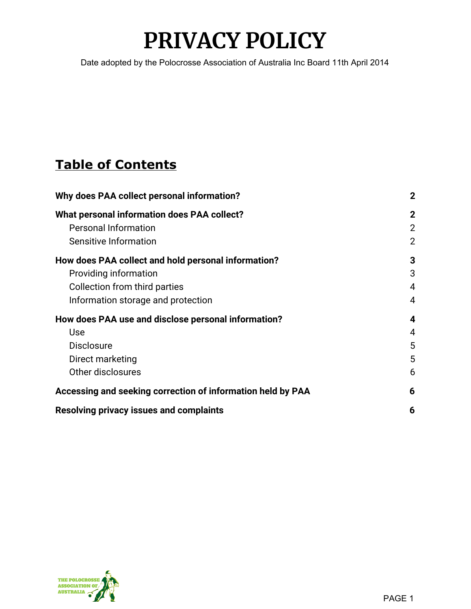# **PRIVACY POLICY**

Date adopted by the Polocrosse Association of Australia Inc Board 11th April 2014

# **Table of Contents**

| Why does PAA collect personal information?                  | $\mathbf{2}$   |
|-------------------------------------------------------------|----------------|
| What personal information does PAA collect?                 | $\mathbf{2}$   |
| <b>Personal Information</b>                                 | $\overline{2}$ |
| Sensitive Information                                       | $\overline{2}$ |
| How does PAA collect and hold personal information?         | 3              |
| Providing information                                       | 3              |
| Collection from third parties                               | 4              |
| Information storage and protection                          | 4              |
| How does PAA use and disclose personal information?         | 4              |
| Use                                                         | 4              |
| <b>Disclosure</b>                                           | 5              |
| Direct marketing                                            | 5              |
| Other disclosures                                           | 6              |
| Accessing and seeking correction of information held by PAA | 6              |
| <b>Resolving privacy issues and complaints</b>              | 6              |

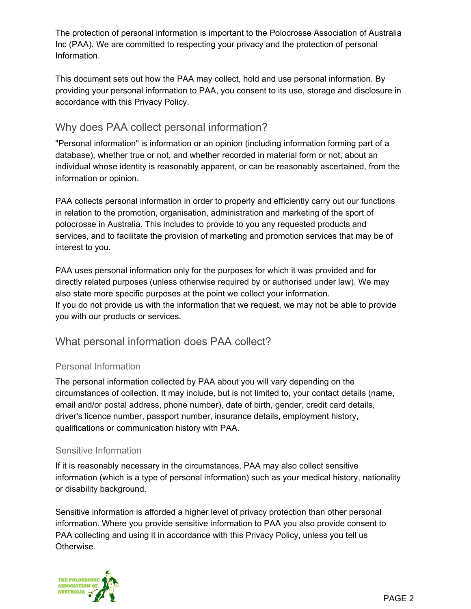The protection of personal information is important to the Polocrosse Association of Australia Inc (PAA). We are committed to respecting your privacy and the protection of personal Information.

This document sets out how the PAA may collect, hold and use personal information. By providing your personal information to PAA, you consent to its use, storage and disclosure in accordance with this Privacy Policy.

# <span id="page-1-0"></span>Why does PAA collect personal information?

"Personal information" is information or an opinion (including information forming part of a database), whether true or not, and whether recorded in material form or not, about an individual whose identity is reasonably apparent, or can be reasonably ascertained, from the information or opinion.

PAA collects personal information in order to properly and efficiently carry out our functions in relation to the promotion, organisation, administration and marketing of the sport of polocrosse in Australia. This includes to provide to you any requested products and services, and to facilitate the provision of marketing and promotion services that may be of interest to you.

PAA uses personal information only for the purposes for which it was provided and for directly related purposes (unless otherwise required by or authorised under law). We may also state more specific purposes at the point we collect your information. If you do not provide us with the information that we request, we may not be able to provide you with our products or services.

# <span id="page-1-1"></span>What personal information does PAA collect?

#### <span id="page-1-2"></span>Personal Information

The personal information collected by PAA about you will vary depending on the circumstances of collection. It may include, but is not limited to, your contact details (name, email and/or postal address, phone number), date of birth, gender, credit card details, driver's licence number, passport number, insurance details, employment history, qualifications or communication history with PAA.

#### <span id="page-1-3"></span>Sensitive Information

If it is reasonably necessary in the circumstances, PAA may also collect sensitive information (which is a type of personal information) such as your medical history, nationality or disability background.

Sensitive information is afforded a higher level of privacy protection than other personal information. Where you provide sensitive information to PAA you also provide consent to PAA collecting and using it in accordance with this Privacy Policy, unless you tell us Otherwise.

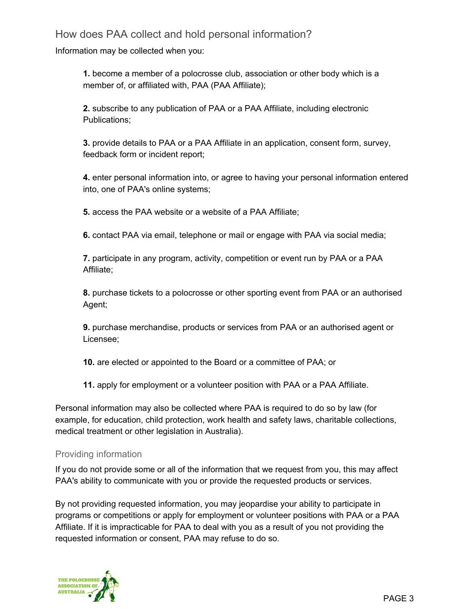# <span id="page-2-0"></span>How does PAA collect and hold personal information?

Information may be collected when you:

**1.** become a member of a polocrosse club, association or other body which is a member of, or affiliated with, PAA (PAA Affiliate);

**2.** subscribe to any publication of PAA or a PAA Affiliate, including electronic Publications;

**3.** provide details to PAA or a PAA Affiliate in an application, consent form, survey, feedback form or incident report;

**4.** enter personal information into, or agree to having your personal information entered into, one of PAA's online systems;

**5.** access the PAA website or a website of a PAA Affiliate;

**6.** contact PAA via email, telephone or mail or engage with PAA via social media;

**7.** participate in any program, activity, competition or event run by PAA or a PAA Affiliate;

**8.** purchase tickets to a polocrosse or other sporting event from PAA or an authorised Agent;

**9.** purchase merchandise, products or services from PAA or an authorised agent or Licensee;

**10.** are elected or appointed to the Board or a committee of PAA; or

**11.** apply for employment or a volunteer position with PAA or a PAA Affiliate.

Personal information may also be collected where PAA is required to do so by law (for example, for education, child protection, work health and safety laws, charitable collections, medical treatment or other legislation in Australia).

#### <span id="page-2-1"></span>Providing information

If you do not provide some or all of the information that we request from you, this may affect PAA's ability to communicate with you or provide the requested products or services.

By not providing requested information, you may jeopardise your ability to participate in programs or competitions or apply for employment or volunteer positions with PAA or a PAA Affiliate. If it is impracticable for PAA to deal with you as a result of you not providing the requested information or consent, PAA may refuse to do so.

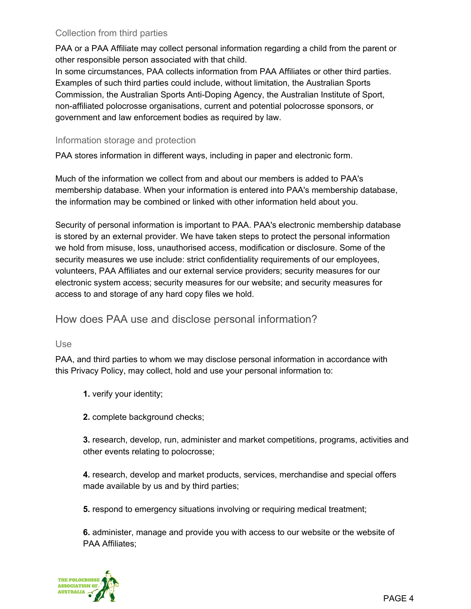#### <span id="page-3-0"></span>Collection from third parties

PAA or a PAA Affiliate may collect personal information regarding a child from the parent or other responsible person associated with that child.

In some circumstances, PAA collects information from PAA Affiliates or other third parties. Examples of such third parties could include, without limitation, the Australian Sports Commission, the Australian Sports Anti-Doping Agency, the Australian Institute of Sport, non-affiliated polocrosse organisations, current and potential polocrosse sponsors, or government and law enforcement bodies as required by law.

#### <span id="page-3-1"></span>Information storage and protection

PAA stores information in different ways, including in paper and electronic form.

Much of the information we collect from and about our members is added to PAA's membership database. When your information is entered into PAA's membership database, the information may be combined or linked with other information held about you.

Security of personal information is important to PAA. PAA's electronic membership database is stored by an external provider. We have taken steps to protect the personal information we hold from misuse, loss, unauthorised access, modification or disclosure. Some of the security measures we use include: strict confidentiality requirements of our employees, volunteers, PAA Affiliates and our external service providers; security measures for our electronic system access; security measures for our website; and security measures for access to and storage of any hard copy files we hold.

# <span id="page-3-2"></span>How does PAA use and disclose personal information?

#### <span id="page-3-3"></span>Use

PAA, and third parties to whom we may disclose personal information in accordance with this Privacy Policy, may collect, hold and use your personal information to:

- **1.** verify your identity;
- **2.** complete background checks;

**3.** research, develop, run, administer and market competitions, programs, activities and other events relating to polocrosse;

**4.** research, develop and market products, services, merchandise and special offers made available by us and by third parties;

**5.** respond to emergency situations involving or requiring medical treatment;

**6.** administer, manage and provide you with access to our website or the website of PAA Affiliates;

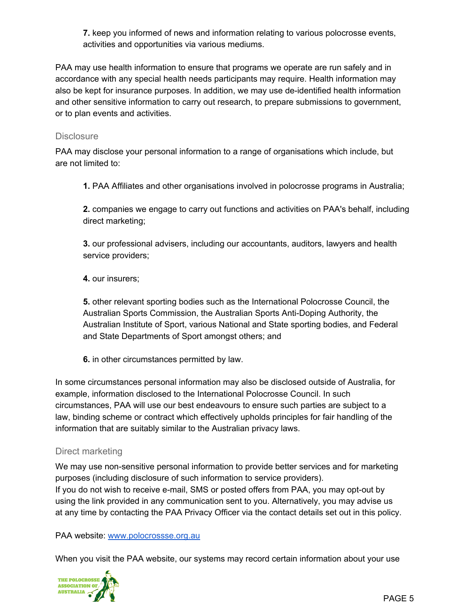**7.** keep you informed of news and information relating to various polocrosse events, activities and opportunities via various mediums.

PAA may use health information to ensure that programs we operate are run safely and in accordance with any special health needs participants may require. Health information may also be kept for insurance purposes. In addition, we may use de-identified health information and other sensitive information to carry out research, to prepare submissions to government, or to plan events and activities.

#### <span id="page-4-0"></span>**Disclosure**

PAA may disclose your personal information to a range of organisations which include, but are not limited to:

**1.** PAA Affiliates and other organisations involved in polocrosse programs in Australia;

**2.** companies we engage to carry out functions and activities on PAA's behalf, including direct marketing;

**3.** our professional advisers, including our accountants, auditors, lawyers and health service providers;

**4.** our insurers;

**5.** other relevant sporting bodies such as the International Polocrosse Council, the Australian Sports Commission, the Australian Sports Anti-Doping Authority, the Australian Institute of Sport, various National and State sporting bodies, and Federal and State Departments of Sport amongst others; and

**6.** in other circumstances permitted by law.

In some circumstances personal information may also be disclosed outside of Australia, for example, information disclosed to the International Polocrosse Council. In such circumstances, PAA will use our best endeavours to ensure such parties are subject to a law, binding scheme or contract which effectively upholds principles for fair handling of the information that are suitably similar to the Australian privacy laws.

#### <span id="page-4-1"></span>Direct marketing

We may use non-sensitive personal information to provide better services and for marketing purposes (including disclosure of such information to service providers). If you do not wish to receive e-mail, SMS or posted offers from PAA, you may opt-out by using the link provided in any communication sent to you. Alternatively, you may advise us at any time by contacting the PAA Privacy Officer via the contact details set out in this policy.

PAA website: [www.polocrossse.org.au](http://www.polocrossse.org.au/)

When you visit the PAA website, our systems may record certain information about your use

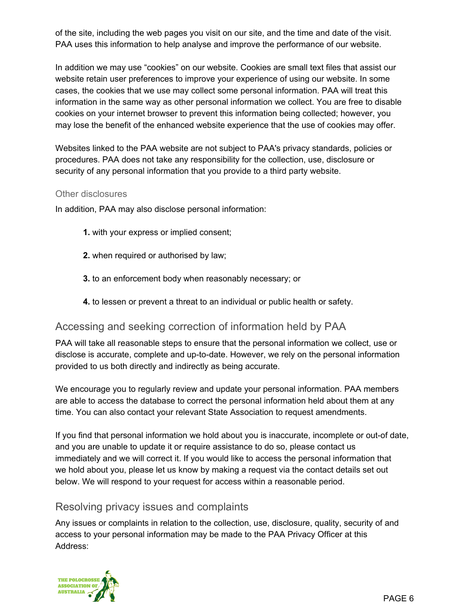of the site, including the web pages you visit on our site, and the time and date of the visit. PAA uses this information to help analyse and improve the performance of our website.

In addition we may use "cookies" on our website. Cookies are small text files that assist our website retain user preferences to improve your experience of using our website. In some cases, the cookies that we use may collect some personal information. PAA will treat this information in the same way as other personal information we collect. You are free to disable cookies on your internet browser to prevent this information being collected; however, you may lose the benefit of the enhanced website experience that the use of cookies may offer.

Websites linked to the PAA website are not subject to PAA's privacy standards, policies or procedures. PAA does not take any responsibility for the collection, use, disclosure or security of any personal information that you provide to a third party website.

#### <span id="page-5-0"></span>Other disclosures

In addition, PAA may also disclose personal information:

- **1.** with your express or implied consent;
- **2.** when required or authorised by law;
- **3.** to an enforcement body when reasonably necessary; or
- **4.** to lessen or prevent a threat to an individual or public health or safety.

# <span id="page-5-1"></span>Accessing and seeking correction of information held by PAA

PAA will take all reasonable steps to ensure that the personal information we collect, use or disclose is accurate, complete and up-to-date. However, we rely on the personal information provided to us both directly and indirectly as being accurate.

We encourage you to regularly review and update your personal information. PAA members are able to access the database to correct the personal information held about them at any time. You can also contact your relevant State Association to request amendments.

If you find that personal information we hold about you is inaccurate, incomplete or out-of date, and you are unable to update it or require assistance to do so, please contact us immediately and we will correct it. If you would like to access the personal information that we hold about you, please let us know by making a request via the contact details set out below. We will respond to your request for access within a reasonable period.

# <span id="page-5-2"></span>Resolving privacy issues and complaints

Any issues or complaints in relation to the collection, use, disclosure, quality, security of and access to your personal information may be made to the PAA Privacy Officer at this Address: